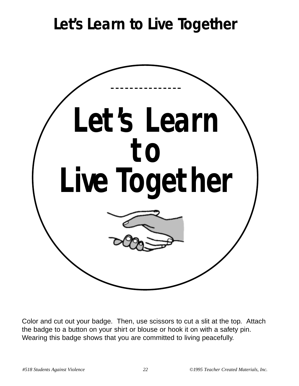## **Let's Learn to Live Together**



Color and cut out your badge. Then, use scissors to cut a slit at the top. Attach the badge to a button on your shirt or blouse or hook it on with a safety pin. Wearing this badge shows that you are committed to living peacefully.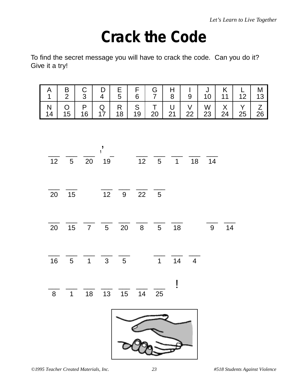## **Crack the Code**

To find the secret message you will have to crack the code. Can you do it? Give it a try!